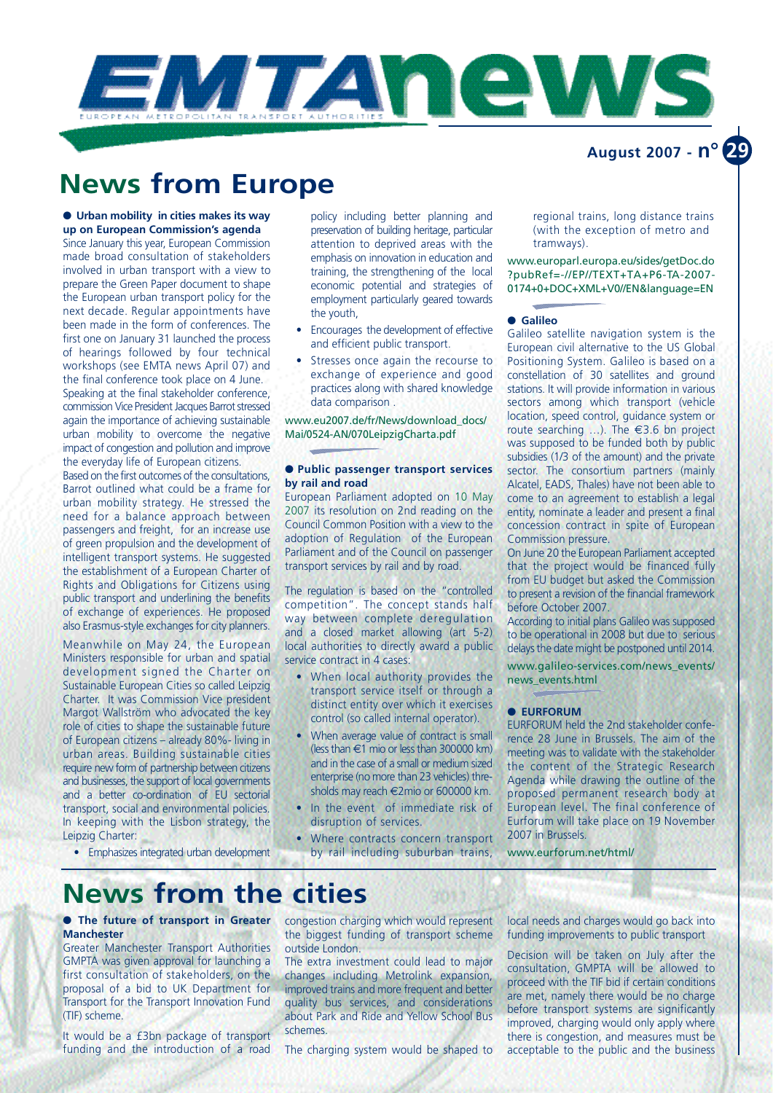

# **News from Europe**

● **Urban mobility in cities makes its way up on European Commission's agenda** 

Since January this year, European Commission made broad consultation of stakeholders involved in urban transport with a view to prepare the Green Paper document to shape the European urban transport policy for the next decade. Regular appointments have been made in the form of conferences. The first one on January 31 launched the process of hearings followed by four technical workshops (see EMTA news April 07) and the final conference took place on 4 June. Speaking at the final stakeholder conference, commission Vice President Jacques Barrot stressed again the importance of achieving sustainable urban mobility to overcome the negative impact of congestion and pollution and improve the everyday life of European citizens.

Based on the first outcomes of the consultations, Barrot outlined what could be a frame for urban mobility strategy. He stressed the need for a balance approach between passengers and freight, for an increase use of green propulsion and the development of intelligent transport systems. He suggested the establishment of a European Charter of Rights and Obligations for Citizens using public transport and underlining the benefits of exchange of experiences. He proposed also Erasmus-style exchanges for city planners.

Meanwhile on May 24, the European Ministers responsible for urban and spatial development signed the Charter on Sustainable European Cities so called Leipzig Charter. It was Commission Vice president Margot Wallström who advocated the key role of cities to shape the sustainable future of European citizens – already 80%- living in urban areas. Building sustainable cities require new form of partnership between citizens and businesses, the support of local governments and a better co-ordination of EU sectorial transport, social and environmental policies. In keeping with the Lisbon strategy, the Leipzig Charter:

policy including better planning and p reservation of building heritage, particular attention to deprived areas with the emphasis on innovation in education and training, the strengthening of the local economic potential and strategies of employment particularly geared towards the youth,

- $\bullet$  Encourages the development of effective and efficient public transport.
- Stresses once again the recourse to exchange of experience and good practices along with shared knowledge data comparison .

www.eu2007.de/fr/News/download\_docs/ Mai/0524-AN/070LeipzigCharta.pdf

#### ● **Public passenger transport services by rail and road**

European Parliament adopted on 10 May 2007 its resolution on 2nd reading on the Council Common Position with a view to the adoption of Regulation of the European Parliament and of the Council on passenger transport services by rail and by road.

The regulation is based on the "controlled competition". The concept stands half way between complete deregulation and a closed market allowing (art 5-2) local authorities to directly award a public service contract in 4 cases:

- When local authority provides the transport service itself or through a distinct entity over which it exercises control (so called internal operator).
- When average value of contract is small  $($  less than  $\epsilon$ 1 mio or less than 300000 km) and in the case of a small or medium sized enterprise (no more than 23 vehicles) thresholds may reach  $\in$ 2mio or 600000 km.
- In the event of immediate risk of disruption of services.
- Where contracts concern transport by rail including suburban trains,

regional trains, long distance trains (with the exception of metro and tramways).

www.europarl.europa.eu/sides/getDoc.do ? pubRef = - //EP//TEXT+TA+P6-TA-2007-0174+0+DOC+XML+V0//EN&language=EN

#### ● **Galileo**

Galileo satellite navigation system is the European civil alternative to the US Global Positioning System. Galileo is based on a constellation of 30 satellites and ground stations. It will provide information in various sectors among which transport (vehicle location, speed control, guidance system or route searching  $\dots$ ). The  $\in$ 3.6 bn project was supposed to be funded both by public subsidies (1/3 of the amount) and the private sector. The consortium partners (mainly Alcatel, EADS, Thales) have not been able to come to an agreement to establish a legal entity, nominate a leader and present a final concession contract in spite of European Commission pressure.

On June 20 the European Parliament accepted that the project would be financed fully from EU budget but asked the Commission to present a revision of the financial framework before October 2007.

According to initial plans Galileo was supposed to be operational in 2008 but due to serious delaysthe date might be postponed until 2014.

www.galileo-services.com/news\_events/ news\_events.html

#### ● **EURFORUM**

EURFORUM held the 2nd stakeholder conference 28 June in Brussels. The aim of the meeting was to validate with the stakeholder the content of the Strategic Research Agenda while drawing the outline of the proposed permanent research body at European level. The final conference of Eurforum will take place on 19 November 2007 in Brussels.

www.eurforum.net/html/

### • Emphasizes integrated urban development

## **News from the cities**

#### ● **The future of transport in Greater Manchester**

Greater Manchester Transport Authorities GMPTA was given approval for launching a first consultation of stakeholders, on the proposal of a bid to UK Department for Transport for the Transport Innovation Fund (TIF) scheme.

It would be a £3bn package of transport funding and the introduction of a road congestion charging which would represent the biggest funding of transport scheme outside London.

The extra investment could lead to major changes including Metrolink expansion, improved trains and more frequent and better quality bus services, and considerations about Park and Ride and Yellow School Bus schemes.

The charging system would be shaped to

local needs and charges would go back into funding improvements to public transport

Decision will be taken on July after the consultation, GMPTA will be allowed to proceed with the TIF bid if certain conditions are met, namely there would be no charge before transport systems are significantly improved, charging would only apply where there is congestion, and measures must be acceptable to the public and the business